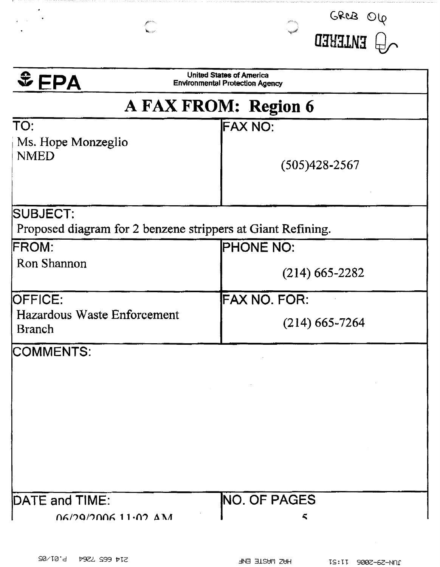| $E = PA$<br><b>Environmental Protection Agency</b><br>A FAX FROM: Region 6<br>TO:<br><b>FAX NO:</b><br>Ms. Hope Monzeglio<br><b>NMED</b><br>Proposed diagram for 2 benzene strippers at Giant Refining.<br><b>PHONE NO:</b><br><b>Ron Shannon</b><br>$(214)$ 665-2282<br><b>FAX NO. FOR:</b><br>Hazardous Waste Enforcement<br>$(214)$ 665-7264<br><b>Branch</b><br>$\label{eq:2.1} \mathcal{L}(\mathcal{L}^{\mathcal{L}}_{\mathcal{L}}(\mathcal{L}^{\mathcal{L}}_{\mathcal{L}})) = \mathcal{L}(\mathcal{L}^{\mathcal{L}}_{\mathcal{L}}(\mathcal{L}^{\mathcal{L}}_{\mathcal{L}})) = \mathcal{L}(\mathcal{L}^{\mathcal{L}}_{\mathcal{L}}(\mathcal{L}^{\mathcal{L}}_{\mathcal{L}}))$ | <b>United States of America</b> |  |
|------------------------------------------------------------------------------------------------------------------------------------------------------------------------------------------------------------------------------------------------------------------------------------------------------------------------------------------------------------------------------------------------------------------------------------------------------------------------------------------------------------------------------------------------------------------------------------------------------------------------------------------------------------------------------------|---------------------------------|--|
|                                                                                                                                                                                                                                                                                                                                                                                                                                                                                                                                                                                                                                                                                    |                                 |  |
|                                                                                                                                                                                                                                                                                                                                                                                                                                                                                                                                                                                                                                                                                    |                                 |  |
| <b>SUBJECT:</b><br><b>FROM:</b><br><b>OFFICE:</b><br>COMMENTS:                                                                                                                                                                                                                                                                                                                                                                                                                                                                                                                                                                                                                     |                                 |  |
|                                                                                                                                                                                                                                                                                                                                                                                                                                                                                                                                                                                                                                                                                    |                                 |  |
|                                                                                                                                                                                                                                                                                                                                                                                                                                                                                                                                                                                                                                                                                    | $(505)428 - 2567$               |  |
|                                                                                                                                                                                                                                                                                                                                                                                                                                                                                                                                                                                                                                                                                    |                                 |  |
|                                                                                                                                                                                                                                                                                                                                                                                                                                                                                                                                                                                                                                                                                    |                                 |  |
|                                                                                                                                                                                                                                                                                                                                                                                                                                                                                                                                                                                                                                                                                    |                                 |  |
|                                                                                                                                                                                                                                                                                                                                                                                                                                                                                                                                                                                                                                                                                    |                                 |  |
|                                                                                                                                                                                                                                                                                                                                                                                                                                                                                                                                                                                                                                                                                    |                                 |  |
|                                                                                                                                                                                                                                                                                                                                                                                                                                                                                                                                                                                                                                                                                    |                                 |  |
|                                                                                                                                                                                                                                                                                                                                                                                                                                                                                                                                                                                                                                                                                    |                                 |  |
|                                                                                                                                                                                                                                                                                                                                                                                                                                                                                                                                                                                                                                                                                    |                                 |  |
|                                                                                                                                                                                                                                                                                                                                                                                                                                                                                                                                                                                                                                                                                    |                                 |  |
|                                                                                                                                                                                                                                                                                                                                                                                                                                                                                                                                                                                                                                                                                    |                                 |  |
|                                                                                                                                                                                                                                                                                                                                                                                                                                                                                                                                                                                                                                                                                    |                                 |  |
|                                                                                                                                                                                                                                                                                                                                                                                                                                                                                                                                                                                                                                                                                    |                                 |  |
|                                                                                                                                                                                                                                                                                                                                                                                                                                                                                                                                                                                                                                                                                    |                                 |  |
|                                                                                                                                                                                                                                                                                                                                                                                                                                                                                                                                                                                                                                                                                    |                                 |  |
|                                                                                                                                                                                                                                                                                                                                                                                                                                                                                                                                                                                                                                                                                    |                                 |  |
|                                                                                                                                                                                                                                                                                                                                                                                                                                                                                                                                                                                                                                                                                    |                                 |  |
|                                                                                                                                                                                                                                                                                                                                                                                                                                                                                                                                                                                                                                                                                    |                                 |  |
|                                                                                                                                                                                                                                                                                                                                                                                                                                                                                                                                                                                                                                                                                    |                                 |  |
|                                                                                                                                                                                                                                                                                                                                                                                                                                                                                                                                                                                                                                                                                    |                                 |  |
| NO. OF PAGES<br>DATE and TIME:<br>$06/29/200611 \cdot 02 \Delta M$                                                                                                                                                                                                                                                                                                                                                                                                                                                                                                                                                                                                                 |                                 |  |

and the state state of

 $\sim 10^7$ 

i na amingitati ng disikito a konstitutor 20 da kontrata ito di disababan ka kale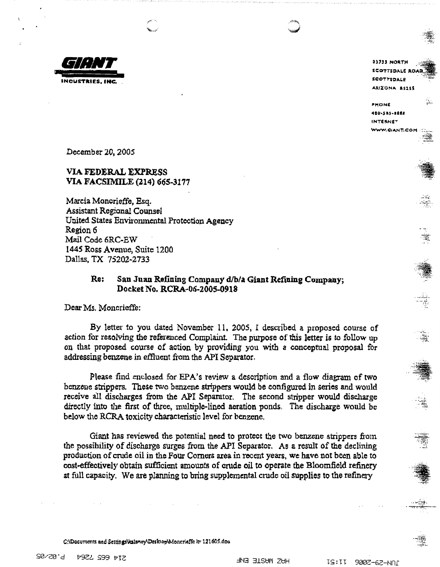

23733 NORTH **SCOTTSDALE ROAD** SCOTTSDALE **Al\1%0NA. IISlSS** 

**f'l'10Nlll**  •**I0•.511S•Bll!I INTERNET** WWW.CIANT.COM

 $...$ 

*····:~ ..* 

 $. -11$ ., *.....* -::~---·

December 20, 2005

### **VIA FEDERAL EXPRESS VIA FACSIMILE (214) 66S-3177**

Marcia Moncrieffe, Esq. Assistant Regional Counsel United States Environmental Protection Agency Region 6 Mail Code 6RC-EW l44S Ross Avenue, Suite 1200 Dallas, TX 75202-2733

### Re: San Juan Refining Company d/b/a Giant Refining Company; **Docket No, RCRA-06-2005-0918**

Dear Ms. Moncrieffe:

By letter to you dated November 11. 2005, I described a proposed eourse of action for resolving the referenced Complaint. The purpose of this letter is to follow up on that proposed course of action by providing you with a conceptual proposal for addressing benzene in effluent from the API Separator.

Please find enclosed for EPA's review a description and a flow diagram of two benzene strippers. These two benzene strippers would be configured in series and would receive all discharges from the API Separator. The second stripper would discharge directly into the first of three, multiple-lined aeration ponds. The discharge would be below the RCRA. toxicity characteristic level for benzene,

Giant has reviewed the potential need to protect the two benzene strippers from the possibility of discharge surges from the API Separator. As a result of the declining production of crude oil in the Four Comers area in recent years, we have not been able to cost.effectively obtain sufficient amounts of crude oil to operate the Bloomfield refinery at full capacity. We are planning to bring supplemental crude oil supplies to the refinery

C:\Documents and Settings\kslaney\Desktop\Moneriaffe ltr 121605.doo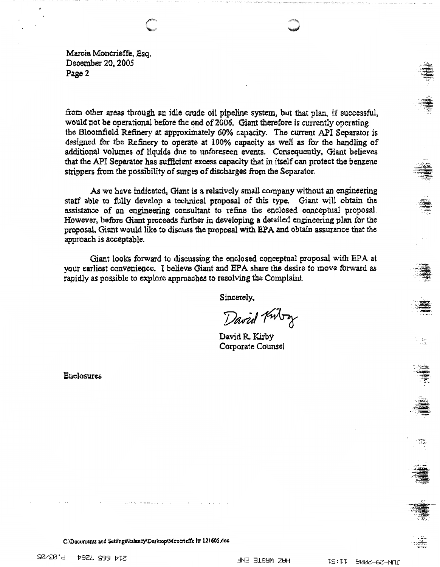Marcia Moncrieffe, Esq. December 20, 2005 Page 2

from other areas through an idle crude oil pipeline system, but that plan, if successful, would not be operational before the end of 2006. Giant therefore is currently operating the Bloomfield Refinery at approximately 60% capacity. The current API Separator is designed for the Refinery to operate at 100% capacity as well as for the handling of additional volumes of liquids due to unforeseen events. Consequently, Giant believes that the API Separator has sufficient excess capacity that in itself can protect the benzene strippers from the possibility of surges of discharges from the Separator.

As we have indicated. Giant is a relatively small company without an engineering staff able to fully develop a technical proposal of this type. Giant will obtain the assistance of an engineering consultant to refine the enclosed conceptual proposal. However, before Giant proceeds further in developing a detailed engineering plan for the proposal, Giant would like to discuss the proposal with EPA and obtain assurance that the approach is acceptable.

Giant looks forward to discussing the enclosed conceptual proposal with EPA at your earliest convenience. I believe Giant and EPA share the desire to move forward as rapidly as possible to explore approaches to resolving the Complaint.

Sincerely.

David Kutry

David R. Kirby Corporate Counsel

Enclosures



C:\Documents and Settings\kslaney\Dosktop\Monorieffe }p 121605.doc

**20120.9** 514 665 7264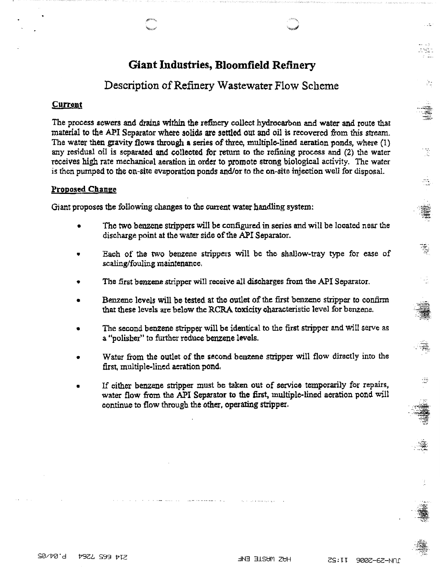# Giant Industries, Bloomfield Refinery

## Description of Refinery Wastewater Flow Scheme

#### Current

The process sewers and drains within the refinery collect hydrocarbon and water and route that material to the API Separator where solids are settled out and oil is recovered from this stream. The water then gravity flows through a series of three, multiple-lined aeration ponds, where (1) any residual oil is separated and collected for return to the refining process and (2) the water receives high rate mechanical aeration in order to promote strong biological activity. The water is then pumped to the on-site evaporation ponds and/or to the on-site injection well for disposal.

### **Proposed Change**

Giant proposes the following changes to the current water handling system:

- The two benzene strippers will be configured in series and will be located near the discharge point at the water side of the API Separator.
- Each of the two benzene strippers will be the shallow-tray type for ease of scaling/fouling maintenance,
- The first benzene stripper will receive all discharges from the API Separator.
- Benzene levels will be tested at the outlet of the first benzene stripper to confirm that these levels are below the RCRA toxicity characteristic level for benzene.
- The second benzene stripper will be identical to the first stripper and will serve as a ''polisher" to further reduce benzene levels.
- Water from the outlet of the second benzene stripper will flow directly into the first, multiple-lined aeration pond,
- If either benzene stripper must be taken out of service temporarily for repairs, water flow from the API Separator to the first, multiple-lined aeration pond will continue to flow through the other, **operating stripper.**

... -· \_.,,........\_

æ,

橐

强

 $\cdot$  .  $\cdot$   $\cdot$   $\cdot$   $\cdot$ 

·.-...... ~. -·'.·:;~~

*..* :;;;;:;.

 $\cdot$  . -;,